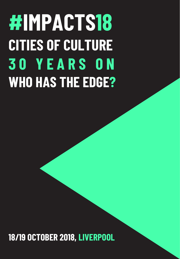## **#IMPACTS18 CITIES OF CULTURE 3 0 Y E A R S O N WHO HAS THE EDGE?**

**18/19 OCTOBER 2018, LIVERPOOL**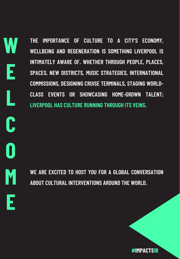**THE IMPORTANCE OF CULTURE TO A CITY'S ECONOMY, WELLBEING AND REGENERATION IS SOMETHING LIVERPOOL IS INTIMATELY AWARE OF. WHETHER THROUGH PEOPLE, PLACES, SPACES, NEW DISTRICTS, MUSIC STRATEGIES, INTERNATIONAL COMMISSIONS, DESIGNING CRUISE TERMINALS, STAGING WORLD-CLASS EVENTS OR SHOWCASING HOME-GROWN TALENT; LIVERPOOL HAS CULTURE RUNNING THROUGH ITS VEINS.**

**W**

**E**

**L**

**C**

**O**

**M**

**E**

**WE ARE EXCITED TO HOST YOU FOR A GLOBAL CONVERSATION ABOUT CULTURAL INTERVENTIONS AROUND THE WORLD.**

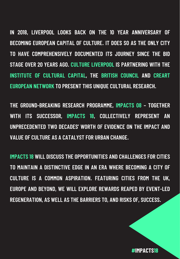**IN 2018, LIVERPOOL LOOKS BACK ON THE 10 YEAR ANNIVERSARY OF BECOMING EUROPEAN CAPITAL OF CULTURE. IT DOES SO AS THE ONLY CITY TO HAVE COMPREHENSIVELY DOCUMENTED ITS JOURNEY SINCE THE BID STAGE OVER 20 YEARS AGO. CULTURE LIVERPOOL IS PARTNERING WITH THE INSTITUTE OF CULTURAL CAPITAL, THE BRITISH COUNCIL AND CREART EUROPEAN NETWORK TO PRESENT THIS UNIQUE CULTURAL RESEARCH.**

**THE GROUND-BREAKING RESEARCH PROGRAMME, IMPACTS 08 – TOGETHER WITH ITS SUCCESSOR, IMPACTS 18, COLLECTIVELY REPRESENT AN UNPRECEDENTED TWO DECADES' WORTH OF EVIDENCE ON THE IMPACT AND VALUE OF CULTURE AS A CATALYST FOR URBAN CHANGE.**

**IMPACTS 18 WILL DISCUSS THE OPPORTUNITIES AND CHALLENGES FOR CITIES TO MAINTAIN A DISTINCTIVE EDGE IN AN ERA WHERE BECOMING A CITY OF CULTURE IS A COMMON ASPIRATION. FEATURING CITIES FROM THE UK, EUROPE AND BEYOND, WE WILL EXPLORE REWARDS REAPED BY EVENT-LED REGENERATION, AS WELL AS THE BARRIERS TO, AND RISKS OF, SUCCESS.**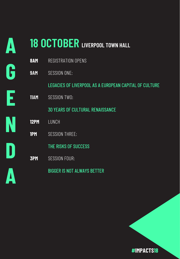### **18 OCTOBER LIVERPOOL TOWN HALL**

**A**

**G**

**E**

**N**

**D**

**A**

| 8AM         | REGISTRATION OPENS                                     |
|-------------|--------------------------------------------------------|
| <b>9AM</b>  | <b>SESSION ONE:</b>                                    |
|             | LEGACIES OF LIVERPOOL AS A EUROPEAN CAPITAL OF CULTURE |
| <b>11AM</b> | <b>SESSION TWO:</b>                                    |
|             | <b>30 YEARS OF CULTURAL RENAISSANCE</b>                |
| <b>12PM</b> | <b>LUNCH</b>                                           |
| <b>1PM</b>  | <b>SESSION THREE:</b>                                  |
|             | THE RISKS OF SUCCESS                                   |
| <b>3PM</b>  | <b>SESSION FOUR:</b>                                   |
|             | <b>BIGGER IS NOT ALWAYS BETTER</b>                     |
|             |                                                        |

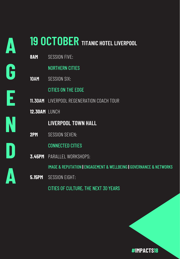# **A G E N D A**

### **19 OCTOBER TITANIC HOTEL LIVERPOOL**

| <b>SESSION FIVE:</b>                                                |
|---------------------------------------------------------------------|
| <b>NORTHERN CITIES</b>                                              |
| <b>SESSION SIX:</b>                                                 |
| <b>CITIES ON THE EDGE</b>                                           |
| <b>11.30AM</b> LIVERPOOL REGENERATION COACH TOUR                    |
| 12.30AM LUNCH                                                       |
| <b>LIVERPOOL TOWN HALL</b>                                          |
| <b>SESSION SEVEN:</b>                                               |
| <b>CONNECTED CITIES</b>                                             |
| <b>3.45PM</b> PARALLEL WORKSHOPS:                                   |
| IMAGE & REPUTATION   ENGAGEMENT & WELLBEING   GOVERNANCE & NETWORKS |
| <b>SESSION EIGHT:</b>                                               |
| CITIES OF CULTURE, THE NEXT 30 YEARS                                |
|                                                                     |

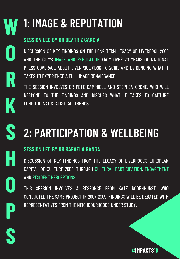### **1: IMAGE & REPUTATION**

#### **SESSION LED BY DR BEATRIZ GARCIA**

**W**

**O**

**R**

**K**

**S**

**H**

**O**

**P**

**S**

DISCUSSION OF KEY FINDINGS ON THE LONG TERM LEGACY OF LIVERPOOL 2008 AND THE CITY'S IMAGE AND REPUTATION FROM OVER 20 YEARS OF NATIONAL PRESS COVERAGE ABOUT LIVERPOOL (1996 TO 2018), AND EVIDENCING WHAT IT TAKES TO EXPERIENCE A FULL IMAGE RENAISSANCE.

THE SESSION INVOLVES DR PETE CAMPBELL AND STEPHEN CRONE, WHO WILL RESPOND TO THE FINDINGS AND DISCUSS WHAT IT TAKES TO CAPTURE LONGITUDINAL STATISTICAL TRENDS.

### **2: PARTICIPATION & WELLBEING**

#### **SESSION LED BY DR RAFAELA GANGA**

DISCUSSION OF KEY FINDINGS FROM THE LEGACY OF LIVERPOOL'S EUROPEAN CAPITAL OF CULTURE 2008, THROUGH CULTURAL PARTICIPATION, ENGAGEMENT AND RESIDENT PERCEPTIONS.

THIS SESSION INVOLVES A RESPONSE FROM KATE RODENHURST, WHO CONDUCTED THE SAME PROJECT IN 2007-2009. FINDINGS WILL BE DEBATED WITH REPRESENTATIVES FROM THE NEIGHBOURHOODS UNDER STUDY.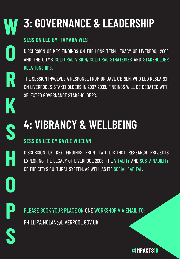### **3: GOVERNANCE & LEADERSHIP**

#### **SESSION LED BY TAMARA WEST**

DISCUSSION OF KEY FINDINGS ON THE LONG TERM LEGACY OF LIVERPOOL 2008 AND THE CITY'S CULTURAL VISION, CULTURAL STRATEGIES AND STAKEHOLDER RELATIONSHIPS.

THE SESSION INVOLVES A RESPONSE FROM DR DAVE O'BRIEN, WHO LED RESEARCH ON LIVERPOOL'S STAKEHOLDERS IN 2007-2009. FINDINGS WILL BE DEBATED WITH SELECTED GOVERNANCE STAKEHOLDERS.

### **4: VIBRANCY & WELLBEING**

#### **SESSION LED BY GAYLE WHELAN**

DISCUSSION OF KEY FINDINGS FROM TWO DISTINCT RESEARCH PROJECTS EXPLORING THE LEGACY OF LIVERPOOL 2008, THE VITALITY AND SUSTAINABILITY OF THE CITY'S CULTURAL SYSTEM, AS WELL AS ITS SOCIAL CAPITAL.

**P**

**S**

**O**

**W**

**O**

**R**

**K**

**S**

**H**

PLEASE BOOK YOUR PLACE ON ONE WORKSHOP VIA EMAIL TO: PHILLIPA.NOLAN@LIVERPOOL.GOV.UK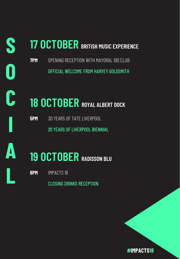### **17 OCTOBER BRITISH MUSIC EXPERIENCE**

**7PM** OPENING RECEPTION WITH MAYORAL 100 CLUB OFFICIAL WELCOME FROM HARVEY GOLDSMITH

### **18 OCTOBER ROYAL ALBERT DOCK**

**5PM** 30 YEARS OF TATE LIVERPOOL

20 YEARS OF LIVERPOOL BIENNIAL



**I**

**S**

**O**

**C**

### **19 OCTOBER RADISSON BLU**

**6PM** IMPACTS 18

CLOSING DRINKS RECEPTION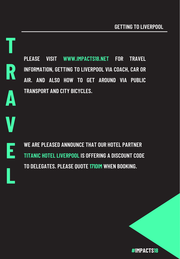**T R A V E L**

**PLEASE VISIT WWW.IMPACTS18.NET FOR TRAVEL INFORMATION, GETTING TO LIVERPOOL VIA COACH, CAR OR AIR. AND ALSO HOW TO GET AROUND VIA PUBLIC TRANSPORT AND CITY BICYCLES.**

**WE ARE PLEASED ANNOUNCE THAT OUR HOTEL PARTNER TITANIC HOTEL LIVERPOOL IS OFFERING A DISCOUNT CODE TO DELEGATES. PLEASE QUOTE 1710IM WHEN BOOKING.**

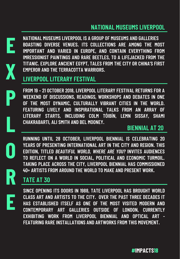

**X**

**P**

**L**

**O**

**R**

**E**

**NATIONAL MUSEUMS LIVERPOOL IS A GROUP OF MUSEUMS AND GALLERIES BOASTING DIVERSE VENUES. ITS COLLECTIONS ARE AMONG THE MOST IMPORTANT AND VARIED IN EUROPE, AND CONTAIN EVERYTHING FROM IMRESSIONIST PAINTINGS AND RARE BEETLES, TO A LIFEJACKED FROM THE TITANIC. EXPLORE ANCIENT EGYPT, TALES FROM THE CITY OR CHINA'S FIRST EMPEROR AND THE TERRACOTTA WARRIORS.**

#### **LIVERPOOL LITERARY FESTIVAL**

**FROM 19 – 21 OCTOBER 2018, LIVERPOOL LITERARY FESTIVAL RETURNS FOR A WEEKEND OF DISCUSSIONS, READINGS, WORKSHOPS AND DEBATES IN ONE OF THE MOST DYNAMIC, CULTURALLY VIBRANT CITIES IN THE WORLD. FEATURING LIVELY AND INSPIRATIONAL TALKS FROM AN ARRAY OF LITERARY STARTS, INCLUDING COLM TÓIBÍN, LEMN SISSAY, SHAMI CHAKRABARTI, ALI SMITH AND BEL MOONEY.**

#### **BIENNIAL AT 20**

**RUNNING UNTIL 28 OCTOBER, LIVERPOOL BIENNIAL IS CELEBRATING 20 YEARS OF PRESENTING INTERNATIONAL ART IN THE CITY AND REGION. THIS EDITION, TITLED** *BEAUTIFUL WORLD, WHERE ARE YOU?* **INVITES AUDIENCES TO REFLECT ON A WORLD IN SOCIAL, POLITICAL AND ECONOMIC TURMOIL. TAKING PLACE ACROSS THE CITY, LIVERPOOL BIENNIAL HAS COMMISSIONED 40+ ARTISTS FROM AROUND THE WORLD TO MAKE AND PRESENT WORK.**

#### **TATE AT 30**

**SINCE OPENING ITS DOORS IN 1988, TATE LIVERPOOL HAS BROUGHT WORLD CLASS ART AND ARTISTS TO THE CITY. OVER THE PAST THREE DECADES IT HAS ESTABLISHED ITSELF AS ONE OF THE MOST VISITED MODERN AND CONTEMPORARY ART GALLERIES OUTSIDE OF LONDON, CURRENTLY EXHIBITING WORK FROM LIVERPOOL BIENNIAL AND OPTICAL ART - FEATURING RARE INSTALLATIONS AND ARTWORKS FROM THIS MOVEMENT.**